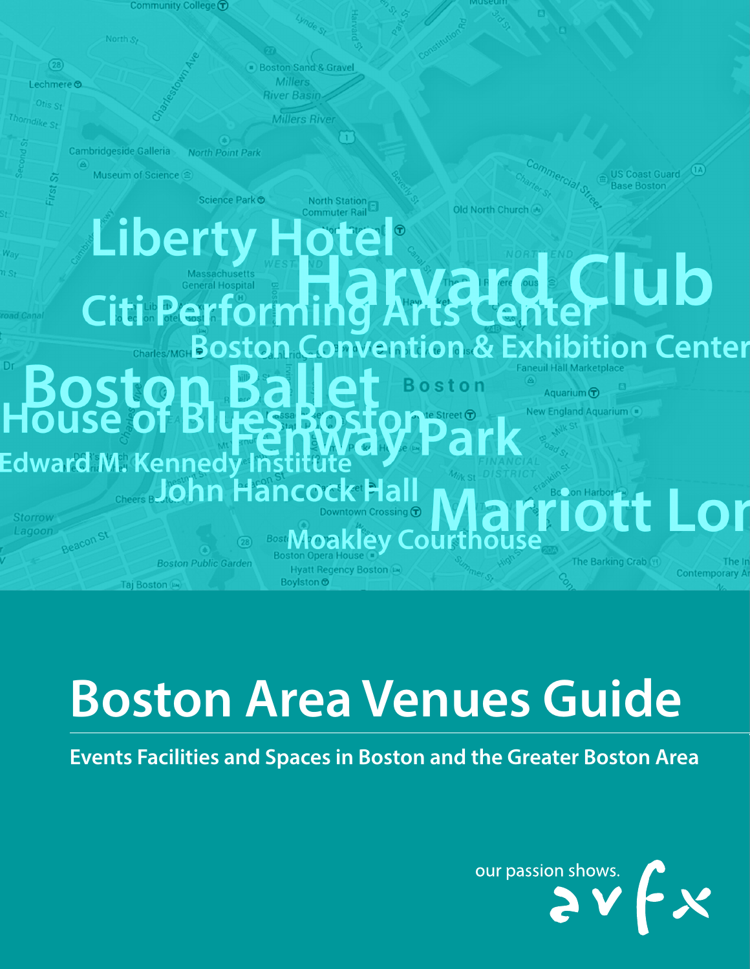

# **Boston Area Venues Guide**

**Events Facilities and Spaces in Boston and the Greater Boston Area**

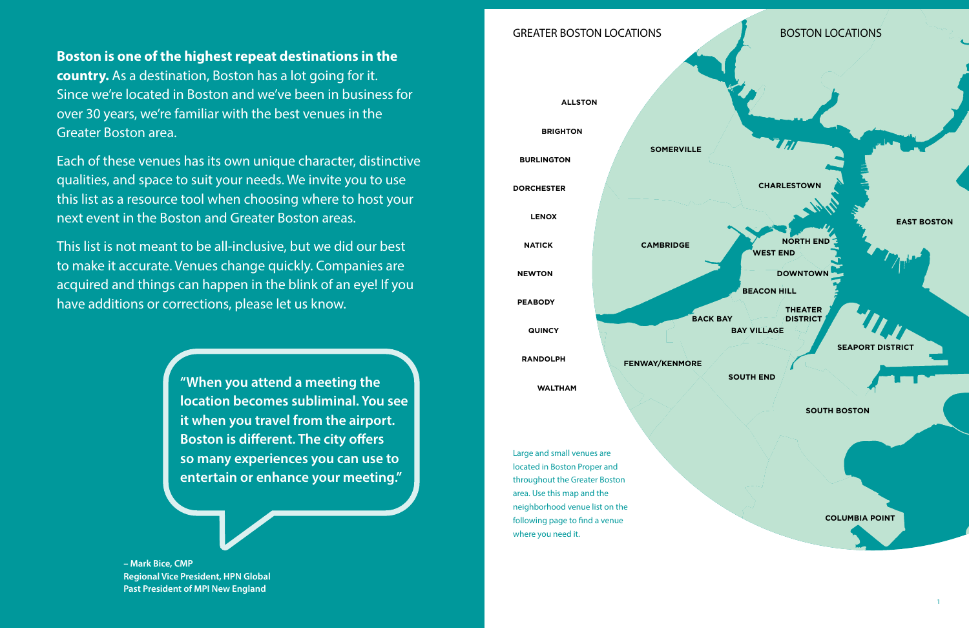# GREATER BOSTON LOCATIONS

<span id="page-1-0"></span>**Boston is one of the highest repeat destinations in the** 

**country.** As a destination, Boston has a lot going for it. Since we're located in Boston and we've been in business for over 30 years, we're familiar with the best venues in the Greater Boston area.

Each of these venues has its own unique character, distinctive qualities, and space to suit your needs. We invite you to use this list as a resource tool when choosing where to host your next event in the Boston and Greater Boston areas.

This list is not meant to be all-inclusive, but we did our best to make it accurate. Venues change quickly. Companies are acquired and things can happen in the blink of an eye! If you have additions or corrections, please let us know.

> **"When you attend a meeting the location becomes subliminal. You see it when you travel from the airport. Boston is different. The city offers so many experiences you can use to entertain or enhance your meeting."**

**– Mark Bice, CMP Regional Vice President, HPN Global Past President of MPI New England**

**NORTH END WEST END**

**EAST BOSTON**

**BEACON HILL**

**DOWNTOWN**

**THEATER DISTRICT BAY VILLAGE**

**SEAPORT DISTRIC** 

**SOUTH END**

**SOUTH BOSTON**



**COLUMBIA POINT**

 $\mathbf{B} = \mathbf{B} \mathbf{B}$ 

# BOSTON LOCATIONS

**CHARLESTOWI** 

7 H

Large and small venues are located in Boston Proper and throughout the Greater Boston area. Use this map and the neighborhood venue list on the following page to find a venue where you need it.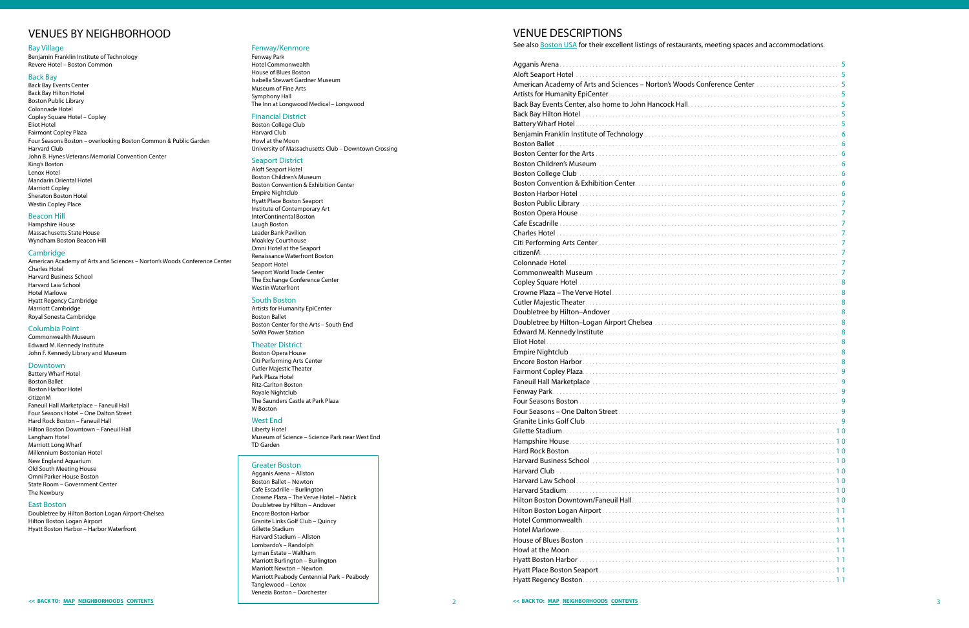#### Bay Village

[Benjamin Franklin Institute of Technology](#page-4-0) [Revere Hotel – Boston Common](#page-8-0) 

#### Back Bay

[Back Bay Events Center](#page-3-0) [Back Bay Hilton Hotel](#page-3-0) [Boston Public Library](#page-4-0) [Colonnade Hotel](#page-4-0) [Copley Square Hotel – Copley](#page-5-0)  [Eliot Hotel](#page-5-0) [Fairmont Copley Plaza](#page-5-0) [Four Seasons Boston – overlooking Boston Common & Public Garden](#page-5-0) [Harvard Club](#page-5-0)  [John B. Hynes Veterans Memorial Convention Center](#page-6-0) [King's Boston](#page-7-0) [Lenox Hotel](#page-7-0) [Mandarin Oriental Hotel](#page-7-0) [Marriott Copley](#page-7-0) [Sheraton Boston Hotel](#page-8-0) [Westin Copley Place](#page-9-0) 

#### Beacon Hill

[Hampshire House](#page-5-0) [Massachusetts State House](#page-7-0) [Wyndham Boston Beacon Hill](#page-7-0) 

#### **Cambridge**

[American Academy of Arts and Sciences – Norton's Woods Conference Center](#page-3-0)  [Charles Hotel](#page-4-0) [Harvard Business School](#page-5-0) [Harvard Law School](#page-5-0) [Hotel Marlowe](#page-6-0) [Hyatt Regency Cambridge](#page-6-0) [Marriott Cambridge](#page-7-0) [Royal Sonesta Cambridge](#page-8-0) 

#### Columbia Point

[Commonwealth Museum](#page-5-0) [Edward M. Kennedy Institute](#page-5-0)  [John F. Kennedy Library and Museum](#page-6-0) 

#### Downtown

[Battery Wharf Hotel](#page-3-0) [Boston Ballet](#page-4-0)  [Boston Harbor Hotel](#page-4-0) citizenM [Faneuil Hall Marketplace – Faneuil Hall](#page-5-0) Four Seasons Hotel – One Dalton Street [Hard Rock Boston – Faneuil Hall](#page-5-0) [Hilton Boston Downtown – Faneuil Hall](#page-6-0) [Langham Hotel](#page-7-0) [Marriott Long Wharf](#page-7-0) [Millennium Bostonian Hotel](#page-7-0)  [New England Aquarium](#page-8-0)  [Old South Meeting House](#page-8-0) [Omni Parker House Boston](#page-8-0) [State Room – Government Center](#page-9-0) The Newbury

#### East Boston

Doubletree by Hilton Boston Logan Airport-Chelsea [Hilton Boston Logan Airport](#page-6-0) [Hyatt Boston Harbor – Harbor Waterfront](#page-6-0)

#### Fenway/Kenmore

[Fenway Park](#page-5-0) [Hotel Commonwealth](#page-6-0) [House of Blues Boston](#page-6-0) [Isabella Stewart Gardner Museum](#page-6-0) [Museum of Fine Arts](#page-8-0) [Symphony Hall](#page-9-0) [The Inn at Longwood Medical – Longwood](#page-9-0)

#### Financial District

[Boston College Club](#page-4-0)  [Harvard Club](#page-5-0) [Howl at the Moon](#page-6-0) [University of Massachusetts Club – Downtown Crossing](#page-9-0) 

#### Seaport District

Aloft Seaport Hotel [Boston Children's Museum](#page-4-0) [Boston Convention & Exhibition Center](#page-4-0) [Empire Nightclub](#page-5-0) Hyatt Place Boston Seaport [Institute of Contemporary Art](#page-6-0)  [InterContinental Boston](#page-6-0) [Laugh Boston](#page-7-0) Leader Bank Pavilio[n](#page-8-0) [Moakley Courthouse](#page-8-0) Omni Hotel at the Seaport [Renaissance Waterfront Boston](#page-8-0) [Seaport Hotel](#page-8-0) [Seaport World Trade Center](#page-8-0) [The Exchange Conference Center](#page-9-0) [Westin Waterfront](#page-9-0) 

#### South Boston

[Artists for Humanity EpiCenter](#page-3-0) [Boston Ballet](#page-4-0) [Boston Center for the Arts – South End](#page-4-0) SoWa Power Station

#### Theater District

Boston [Opera House](#page-4-0) [Citi Performing Arts Center](#page-4-0) [Cutler Majestic Theater](#page-5-0)  [Park Plaza Hotel](#page-8-0) [Ritz-Carlton Boston](#page-8-0) [Royale Nightclub](#page-8-0) [The Saunders Castle at Park Plaza](#page-8-0) [W Boston](#page-9-0) 

#### West End

[Liberty Hotel](#page-7-0) [Museum of Science – Science Park near West End](#page-8-0) [TD Garden](#page-9-0) 

#### Greater Boston

[Agganis Arena – Allston](#page-3-0) [Boston Ballet – Newton](#page-4-0) [Cafe Escadrille – Burlington](#page-4-0) [Crowne Plaza – The Verve Hotel – Natick](#page-5-0)  Doubletree by Hilton – Andover Encore Boston Harbor [Granite Links Golf Club – Quincy](#page-5-0) Gillette Stadium [Harvard Stadium – Allston](#page-6-0) [Lombardo's – Randolph](#page-7-0)  [Lyman Estate – Waltham](#page-7-0) [Marriott Burlington – Burlington](#page-7-0) [Marriott Newton – Newton](#page-7-0)  [Marriott Peabody Centennial Park – Peabody](#page-7-0) [Tanglewood – Lenox](#page-9-0)  [Venezia Boston – Dorchester](#page-9-0) 

See also Boston USA for their excellent listings of restaurants, meeting spaces and accommodations.

# <span id="page-2-0"></span>VENUES BY NEIGHBORHOOD VENUE DESCRIPTIONS

|                                                                              | 5      |
|------------------------------------------------------------------------------|--------|
|                                                                              | 5      |
| erence Center                                                                | 5      |
|                                                                              | 5      |
|                                                                              | 5      |
| 1.1.1.1<br>1.1.1.<br>$\overline{a}$<br>1.1.1.1<br>$\overline{a}$             | 5      |
| 1.1.1.1.1<br>.<br>1.1.1.1                                                    | 5      |
| .                                                                            | 6      |
|                                                                              | 6      |
|                                                                              | 6      |
| $\sim$<br>l,                                                                 | 6      |
|                                                                              | 6      |
|                                                                              | 6      |
|                                                                              | 6      |
|                                                                              | 7      |
| .<br>1.1.1.1                                                                 | 7      |
| .<br>$\overline{a}$<br>l,<br>$\cdots$<br>l,<br>$\overline{a}$                | 7      |
| .<br>.                                                                       | 7      |
| .<br>.                                                                       | 7      |
| .<br>.                                                                       | 7      |
| 1.1.1.1<br>.                                                                 | 7      |
| .<br>1.1.1.1.1<br>$\sim$                                                     | 7      |
| $\sim$                                                                       | 8      |
| .<br>$\overline{a}$                                                          | 8      |
| a sa sa salala                                                               | 8      |
|                                                                              | 8      |
|                                                                              | 8      |
|                                                                              | 8<br>8 |
|                                                                              |        |
| $\cdots$<br>$\overline{a}$<br>$\cdots$<br>$\overline{a}$<br>1.1.1.<br>.<br>. | 8<br>8 |
| .                                                                            | 9      |
|                                                                              | 9      |
| .<br>.<br>$\overline{a}$                                                     | 9      |
| $\sim$<br>l,<br>l,<br>$\overline{a}$                                         | 9      |
|                                                                              | 9      |
|                                                                              | 9      |
|                                                                              | 0      |
|                                                                              |        |
|                                                                              | 10     |
|                                                                              | 10     |
| $\overline{a}$                                                               | 10     |
|                                                                              | 0<br>1 |
|                                                                              | 0<br>1 |
|                                                                              | 0<br>1 |
|                                                                              | 1<br>1 |
|                                                                              | 1<br>1 |
|                                                                              | 1<br>1 |
|                                                                              | 1<br>1 |
|                                                                              | 1<br>1 |
|                                                                              | 1<br>1 |
|                                                                              | 1<br>1 |
|                                                                              | 1<br>1 |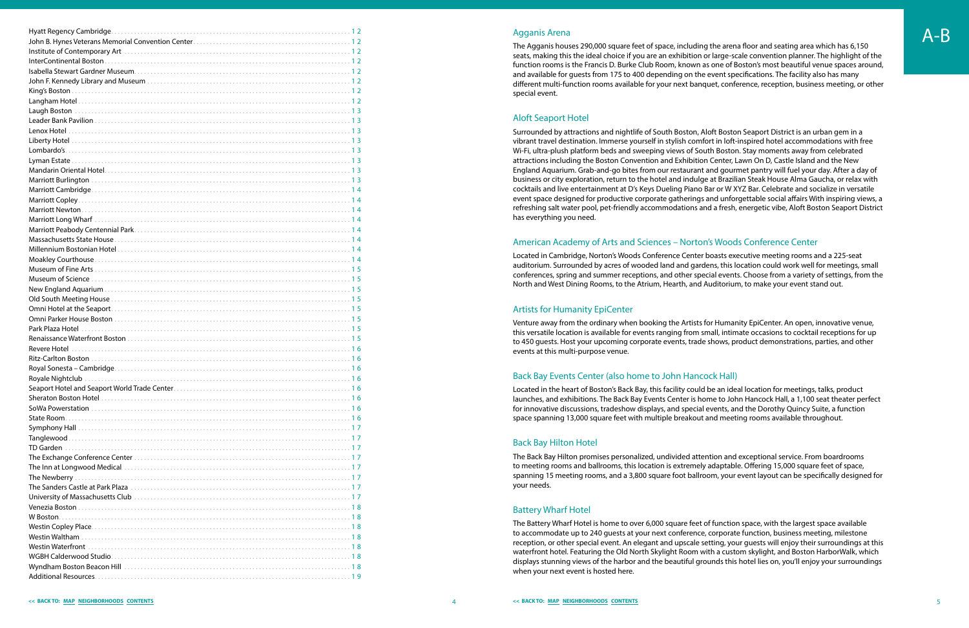<span id="page-3-0"></span>

|                                    | <b>Agganis Arena</b>                                                                                                                                                                                                   | $A-B$ |
|------------------------------------|------------------------------------------------------------------------------------------------------------------------------------------------------------------------------------------------------------------------|-------|
|                                    | The Agganis houses 290,000 square feet of space, including the arena floor and seating area which has 6,150                                                                                                            |       |
|                                    | seats, making this the ideal choice if you are an exhibition or large-scale convention planner. The highlight of the                                                                                                   |       |
|                                    | function rooms is the Francis D. Burke Club Room, known as one of Boston's most beautiful venue spaces around,                                                                                                         |       |
|                                    | and available for guests from 175 to 400 depending on the event specifications. The facility also has many                                                                                                             |       |
|                                    | different multi-function rooms available for your next banquet, conference, reception, business meeting, or other                                                                                                      |       |
|                                    | special event.                                                                                                                                                                                                         |       |
| Langham Hotel.                     |                                                                                                                                                                                                                        |       |
|                                    |                                                                                                                                                                                                                        |       |
|                                    | <b>Aloft Seaport Hotel</b>                                                                                                                                                                                             |       |
| Lenox Hotel.                       | Surrounded by attractions and nightlife of South Boston, Aloft Boston Seaport District is an urban gem in a                                                                                                            |       |
| Liberty Hotel                      | vibrant travel destination. Immerse yourself in stylish comfort in loft-inspired hotel accommodations with free                                                                                                        |       |
|                                    | Wi-Fi, ultra-plush platform beds and sweeping views of South Boston. Stay moments away from celebrated                                                                                                                 |       |
| Lyman Estate.                      | attractions including the Boston Convention and Exhibition Center, Lawn On D, Castle Island and the New                                                                                                                |       |
|                                    | England Aquarium. Grab-and-go bites from our restaurant and gourmet pantry will fuel your day. After a day of                                                                                                          |       |
|                                    | business or city exploration, return to the hotel and indulge at Brazilian Steak House Alma Gaucha, or relax with                                                                                                      |       |
|                                    | cocktails and live entertainment at D's Keys Dueling Piano Bar or W XYZ Bar. Celebrate and socialize in versatile                                                                                                      |       |
|                                    | event space designed for productive corporate gatherings and unforgettable social affairs With inspiring views, a                                                                                                      |       |
|                                    | refreshing salt water pool, pet-friendly accommodations and a fresh, energetic vibe, Aloft Boston Seaport District                                                                                                     |       |
|                                    | has everything you need.                                                                                                                                                                                               |       |
|                                    |                                                                                                                                                                                                                        |       |
|                                    |                                                                                                                                                                                                                        |       |
|                                    | American Academy of Arts and Sciences - Norton's Woods Conference Center                                                                                                                                               |       |
|                                    | Located in Cambridge, Norton's Woods Conference Center boasts executive meeting rooms and a 225-seat                                                                                                                   |       |
|                                    | auditorium. Surrounded by acres of wooded land and gardens, this location could work well for meetings, small                                                                                                          |       |
|                                    | conferences, spring and summer receptions, and other special events. Choose from a variety of settings, from the                                                                                                       |       |
|                                    | North and West Dining Rooms, to the Atrium, Hearth, and Auditorium, to make your event stand out.                                                                                                                      |       |
|                                    |                                                                                                                                                                                                                        |       |
|                                    | <b>Artists for Humanity EpiCenter</b>                                                                                                                                                                                  |       |
|                                    |                                                                                                                                                                                                                        |       |
| Park Plaza Hotel                   | Venture away from the ordinary when booking the Artists for Humanity EpiCenter. An open, innovative venue,                                                                                                             |       |
|                                    | this versatile location is available for events ranging from small, intimate occasions to cocktail receptions for up                                                                                                   |       |
| Revere Hotel                       | to 450 guests. Host your upcoming corporate events, trade shows, product demonstrations, parties, and other                                                                                                            |       |
|                                    | events at this multi-purpose venue.                                                                                                                                                                                    |       |
|                                    |                                                                                                                                                                                                                        |       |
|                                    | Back Bay Events Center (also home to John Hancock Hall)                                                                                                                                                                |       |
|                                    |                                                                                                                                                                                                                        |       |
|                                    | Located in the heart of Boston's Back Bay, this facility could be an ideal location for meetings, talks, product                                                                                                       |       |
|                                    | launches, and exhibitions. The Back Bay Events Center is home to John Hancock Hall, a 1,100 seat theater perfect                                                                                                       |       |
|                                    | for innovative discussions, tradeshow displays, and special events, and the Dorothy Quincy Suite, a function                                                                                                           |       |
|                                    | space spanning 13,000 square feet with multiple breakout and meeting rooms available throughout.                                                                                                                       |       |
|                                    |                                                                                                                                                                                                                        |       |
|                                    | <b>Back Bay Hilton Hotel</b>                                                                                                                                                                                           |       |
|                                    |                                                                                                                                                                                                                        |       |
|                                    | The Back Bay Hilton promises personalized, undivided attention and exceptional service. From boardrooms<br>to meeting rooms and ballrooms, this location is extremely adaptable. Offering 15,000 square feet of space, |       |
|                                    | spanning 15 meeting rooms, and a 3,800 square foot ballroom, your event layout can be specifically designed for                                                                                                        |       |
|                                    | your needs.                                                                                                                                                                                                            |       |
|                                    |                                                                                                                                                                                                                        |       |
|                                    |                                                                                                                                                                                                                        |       |
|                                    | <b>Battery Wharf Hotel</b>                                                                                                                                                                                             |       |
|                                    | The Battery Wharf Hotel is home to over 6,000 square feet of function space, with the largest space available                                                                                                          |       |
|                                    | to accommodate up to 240 guests at your next conference, corporate function, business meeting, milestone                                                                                                               |       |
|                                    | reception, or other special event. An elegant and upscale setting, your guests will enjoy their surroundings at this                                                                                                   |       |
|                                    | waterfront hotel. Featuring the Old North Skylight Room with a custom skylight, and Boston HarborWalk, which                                                                                                           |       |
|                                    | displays stunning views of the harbor and the beautiful grounds this hotel lies on, you'll enjoy your surroundings                                                                                                     |       |
|                                    | when your next event is hosted here.                                                                                                                                                                                   |       |
| 19<br><b>Additional Resources.</b> |                                                                                                                                                                                                                        |       |

#### Agganis Arena

#### Aloft Seaport Hotel

# American Academy of Arts and Sciences – Norton's Woods Conference Center

# Artists for Humanity EpiCenter

# Back Bay Events Center (also home to John Hancock Hall)

## Back Bay Hilton Hotel

## Battery Wharf Hotel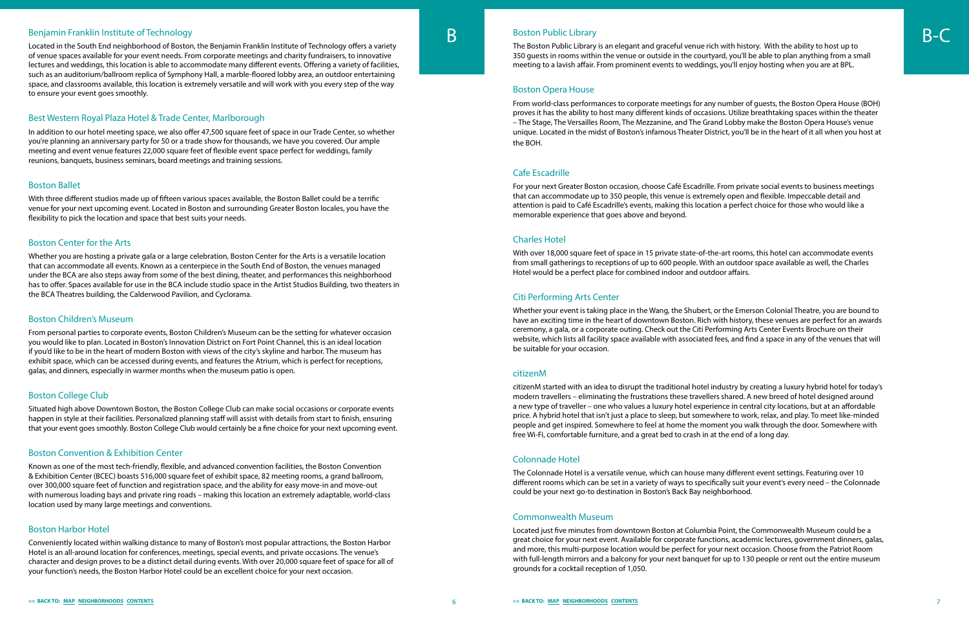<span id="page-4-0"></span>Benjamin Franklin Institute of Technology<br>Located in the South End neighborhood of Boston, the Benjamin Franklin Institute of Technology offers a variety of venue spaces available for your event needs. From corporate meetings and charity fundraisers, to innovative lectures and weddings, this location is able to accommodate many different events. Offering a variety of facilities, such as an auditorium/ballroom replica of Symphony Hall, a marble-floored lobby area, an outdoor entertaining space, and classrooms available, this location is extremely versatile and will work with you every step of the way to ensure your event goes smoothly.

# Best Western Royal Plaza Hotel & Trade Center, Marlborough

In addition to our hotel meeting space, we also offer 47,500 square feet of space in our Trade Center, so whether you're planning an anniversary party for 50 or a trade show for thousands, we have you covered. Our ample meeting and event venue features 22,000 square feet of flexible event space perfect for weddings, family reunions, banquets, business seminars, board meetings and training sessions.

#### Boston Ballet

With three different studios made up of fifteen various spaces available, the Boston Ballet could be a terrific venue for your next upcoming event. Located in Boston and surrounding Greater Boston locales, you have the flexibility to pick the location and space that best suits your needs.

#### Boston Center for the Arts

Whether you are hosting a private gala or a large celebration, Boston Center for the Arts is a versatile location that can accommodate all events. Known as a centerpiece in the South End of Boston, the venues managed under the BCA are also steps away from some of the best dining, theater, and performances this neighborhood has to offer. Spaces available for use in the BCA include studio space in the Artist Studios Building, two theaters in the BCA Theatres building, the Calderwood Pavilion, and Cyclorama.

#### Boston Children's Museum

From personal parties to corporate events, Boston Children's Museum can be the setting for whatever occasion you would like to plan. Located in Boston's Innovation District on Fort Point Channel, this is an ideal location if you'd like to be in the heart of modern Boston with views of the city's skyline and harbor. The museum has exhibit space, which can be accessed during events, and features the Atrium, which is perfect for receptions, galas, and dinners, especially in warmer months when the museum patio is open.

#### Boston College Club

Situated high above Downtown Boston, the Boston College Club can make social occasions or corporate events happen in style at their facilities. Personalized planning staff will assist with details from start to finish, ensuring that your event goes smoothly. Boston College Club would certainly be a fine choice for your next upcoming event.

## Boston Convention & Exhibition Center

Known as one of the most tech-friendly, flexible, and advanced convention facilities, the Boston Convention & Exhibition Center (BCEC) boasts 516,000 square feet of exhibit space, 82 meeting rooms, a grand ballroom, over 300,000 square feet of function and registration space, and the ability for easy move-in and move-out with numerous loading bays and private ring roads – making this location an extremely adaptable, world-class location used by many large meetings and conventions.

# Boston Harbor Hotel

Conveniently located within walking distance to many of Boston's most popular attractions, the Boston Harbor Hotel is an all-around location for conferences, meetings, special events, and private occasions. The venue's character and design proves to be a distinct detail during events. With over 20,000 square feet of space for all of your function's needs, the Boston Harbor Hotel could be an excellent choice for your next occasion.

# Boston Public Library<br>The Boston Public Library

The Boston Public Library is an elegant and graceful venue rich with history. With the ability to host up to 350 guests in rooms within the venue or outside in the courtyard, you'll be able to plan anything from a small meeting to a lavish affair. From prominent events to weddings, you'll enjoy hosting when you are at BPL.

#### Boston Opera House

From world-class performances to corporate meetings for any number of guests, the Boston Opera House (BOH) proves it has the ability to host many different kinds of occasions. Utilize breathtaking spaces within the theater – The Stage, The Versailles Room, The Mezzanine, and The Grand Lobby make the Boston Opera House's venue unique. Located in the midst of Boston's infamous Theater District, you'll be in the heart of it all when you host at the BOH.

#### Cafe Escadrille

For your next Greater Boston occasion, choose Café Escadrille. From private social events to business meetings that can accommodate up to 350 people, this venue is extremely open and flexible. Impeccable detail and attention is paid to Café Escadrille's events, making this location a perfect choice for those who would like a memorable experience that goes above and beyond.

## Charles Hotel

With over 18,000 square feet of space in 15 private state-of-the-art rooms, this hotel can accommodate events from small gatherings to receptions of up to 600 people. With an outdoor space available as well, the Charles Hotel would be a perfect place for combined indoor and outdoor affairs.

## Citi Performing Arts Center

Whether your event is taking place in the Wang, the Shubert, or the Emerson Colonial Theatre, you are bound to have an exciting time in the heart of downtown Boston. Rich with history, these venues are perfect for an awards ceremony, a gala, or a corporate outing. Check out the Citi Performing Arts Center Events Brochure on their website, which lists all facility space available with associated fees, and find a space in any of the venues that will be suitable for your occasion.

#### citizenM

citizenM started with an idea to disrupt the traditional hotel industry by creating a luxury hybrid hotel for today's modern travellers – eliminating the frustrations these travellers shared. A new breed of hotel designed around a new type of traveller – one who values a luxury hotel experience in central city locations, but at an affordable price. A hybrid hotel that isn't just a place to sleep, but somewhere to work, relax, and play. To meet like-minded people and get inspired. Somewhere to feel at home the moment you walk through the door. Somewhere with free Wi-Fi, comfortable furniture, and a great bed to crash in at the end of a long day.

#### Colonnade Hotel

The Colonnade Hotel is a versatile venue, which can house many different event settings. Featuring over 10 different rooms which can be set in a variety of ways to specifically suit your event's every need – the Colonnade could be your next go-to destination in Boston's Back Bay neighborhood.

#### Commonwealth Museum

Located just five minutes from downtown Boston at Columbia Point, the Commonwealth Museum could be a great choice for your next event. Available for corporate functions, academic lectures, government dinners, galas, and more, this multi-purpose location would be perfect for your next occasion. Choose from the Patriot Room with full-length mirrors and a balcony for your next banquet for up to 130 people or rent out the entire museum grounds for a cocktail reception of 1,050.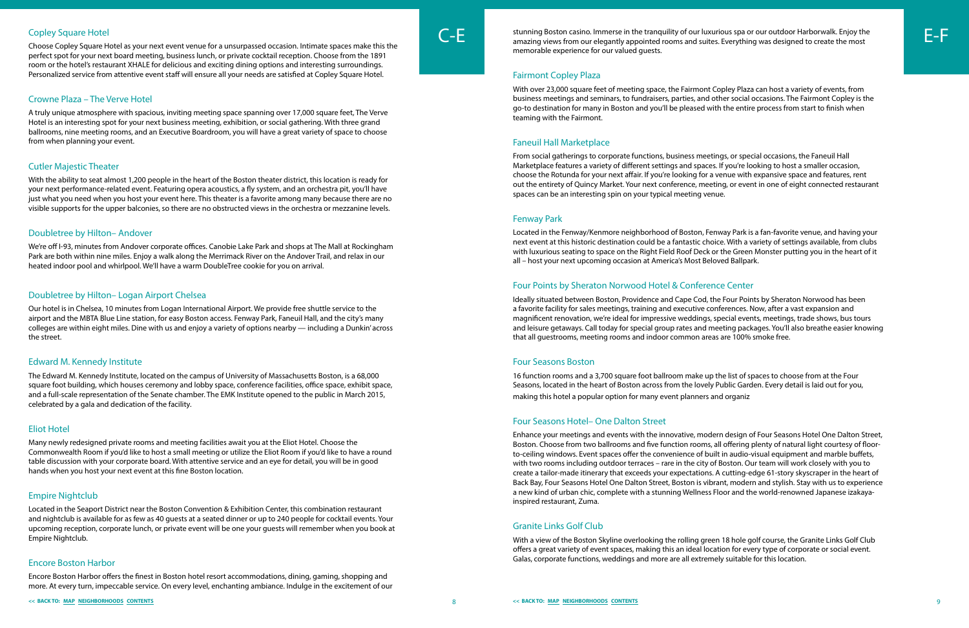

Choose Copley Square Hotel as your next event venue for a unsurpassed occasion. Intimate spaces make this the perfect spot for your next board meeting, business lunch, or private cocktail reception. Choose from the 1891 room or the hotel's restaurant XHALE for delicious and exciting dining options and interesting surroundings. Personalized service from attentive event staff will ensure all your needs are satisfied at Copley Square Hotel.

# Crowne Plaza – The Verve Hotel

A truly unique atmosphere with spacious, inviting meeting space spanning over 17,000 square feet, The Verve Hotel is an interesting spot for your next business meeting, exhibition, or social gathering. With three grand ballrooms, nine meeting rooms, and an Executive Boardroom, you will have a great variety of space to choose from when planning your event.

# Cutler Majestic Theater

With the ability to seat almost 1,200 people in the heart of the Boston theater district, this location is ready for your next performance-related event. Featuring opera acoustics, a fly system, and an orchestra pit, you'll have just what you need when you host your event here. This theater is a favorite among many because there are no visible supports for the upper balconies, so there are no obstructed views in the orchestra or mezzanine levels.

# Doubletree by Hilton– Andover

We're off I-93, minutes from Andover corporate offices. Canobie Lake Park and shops at The Mall at Rockingham Park are both within nine miles. Enjoy a walk along the Merrimack River on the Andover Trail, and relax in our heated indoor pool and whirlpool. We'll have a warm DoubleTree cookie for you on arrival.

# Doubletree by Hilton– Logan Airport Chelsea

<span id="page-5-0"></span>Copley Square Hotel<br>Choose Copley Square Hotel as your pext event yenue for a unsurpassed occasion, Intimate spaces make this the **C-E** amazing views from our elegantly appointed rooms and suites. Everything was designed t amazing views from our elegantly appointed rooms and suites. Everything was designed to create the most memorable experience for our valued guests.

Our hotel is in Chelsea, 10 minutes from Logan International Airport. We provide free shuttle service to the airport and the MBTA Blue Line station, for easy Boston access. Fenway Park, Faneuil Hall, and the city's many colleges are within eight miles. Dine with us and enjoy a variety of options nearby — including a Dunkin' across the street.

## Edward M. Kennedy Institute

The Edward M. Kennedy Institute, located on the campus of University of Massachusetts Boston, is a 68,000 square foot building, which houses ceremony and lobby space, conference facilities, office space, exhibit space, and a full-scale representation of the Senate chamber. The EMK Institute opened to the public in March 2015, celebrated by a gala and dedication of the facility.

# Eliot Hotel

Many newly redesigned private rooms and meeting facilities await you at the Eliot Hotel. Choose the Commonwealth Room if you'd like to host a small meeting or utilize the Eliot Room if you'd like to have a round table discussion with your corporate board. With attentive service and an eye for detail, you will be in good hands when you host your next event at this fine Boston location.

# Empire Nightclub

Located in the Seaport District near the Boston Convention & Exhibition Center, this combination restaurant and nightclub is available for as few as 40 guests at a seated dinner or up to 240 people for cocktail events. Your upcoming reception, corporate lunch, or private event will be one your guests will remember when you book at Empire Nightclub.

# Encore Boston Harbor

Encore Boston Harbor offers the finest in Boston hotel resort accommodations, dining, gaming, shopping and more. At every turn, impeccable service. On every level, enchanting ambiance. Indulge in the excitement of our

# Fairmont Copley Plaza

With over 23,000 square feet of meeting space, the Fairmont Copley Plaza can host a variety of events, from business meetings and seminars, to fundraisers, parties, and other social occasions. The Fairmont Copley is the go-to destination for many in Boston and you'll be pleased with the entire process from start to finish when teaming with the Fairmont.

# Faneuil Hall Marketplace

From social gatherings to corporate functions, business meetings, or special occasions, the Faneuil Hall Marketplace features a variety of different settings and spaces. If you're looking to host a smaller occasion, choose the Rotunda for your next affair. If you're looking for a venue with expansive space and features, rent out the entirety of Quincy Market. Your next conference, meeting, or event in one of eight connected restaurant spaces can be an interesting spin on your typical meeting venue.

# Fenway Park

Located in the Fenway/Kenmore neighborhood of Boston, Fenway Park is a fan-favorite venue, and having your next event at this historic destination could be a fantastic choice. With a variety of settings available, from clubs with luxurious seating to space on the Right Field Roof Deck or the Green Monster putting you in the heart of it all – host your next upcoming occasion at America's Most Beloved Ballpark.

# Four Points by Sheraton Norwood Hotel & Conference Center

Ideally situated between Boston, Providence and Cape Cod, the Four Points by Sheraton Norwood has been a favorite facility for sales meetings, training and executive conferences. Now, after a vast expansion and magnificent renovation, we're ideal for impressive weddings, special events, meetings, trade shows, bus tours and leisure getaways. Call today for special group rates and meeting packages. You'll also breathe easier knowing that all guestrooms, meeting rooms and indoor common areas are 100% smoke free.

# Four Seasons Boston

16 function rooms and a 3,700 square foot ballroom make up the list of spaces to choose from at the Four Seasons, located in the heart of Boston across from the lovely Public Garden. Every detail is laid out for you, making this hotel a popular option for many event planners and organiz

# Four Seasons Hotel– One Dalton Street

Enhance your meetings and events with the innovative, modern design of Four Seasons Hotel One Dalton Street, Boston. Choose from two ballrooms and five function rooms, all offering plenty of natural light courtesy of floorto-ceiling windows. Event spaces offer the convenience of built in audio-visual equipment and marble buffets, with two rooms including outdoor terraces – rare in the city of Boston. Our team will work closely with you to create a tailor-made itinerary that exceeds your expectations. A cutting-edge 61-story skyscraper in the heart of Back Bay, Four Seasons Hotel One Dalton Street, Boston is vibrant, modern and stylish. Stay with us to experience a new kind of urban chic, complete with a stunning Wellness Floor and the world-renowned Japanese izakayainspired restaurant, Zuma.

# Granite Links Golf Club

With a view of the Boston Skyline overlooking the rolling green 18 hole golf course, the Granite Links Golf Club offers a great variety of event spaces, making this an ideal location for every type of corporate or social event. Galas, corporate functions, weddings and more are all extremely suitable for this location.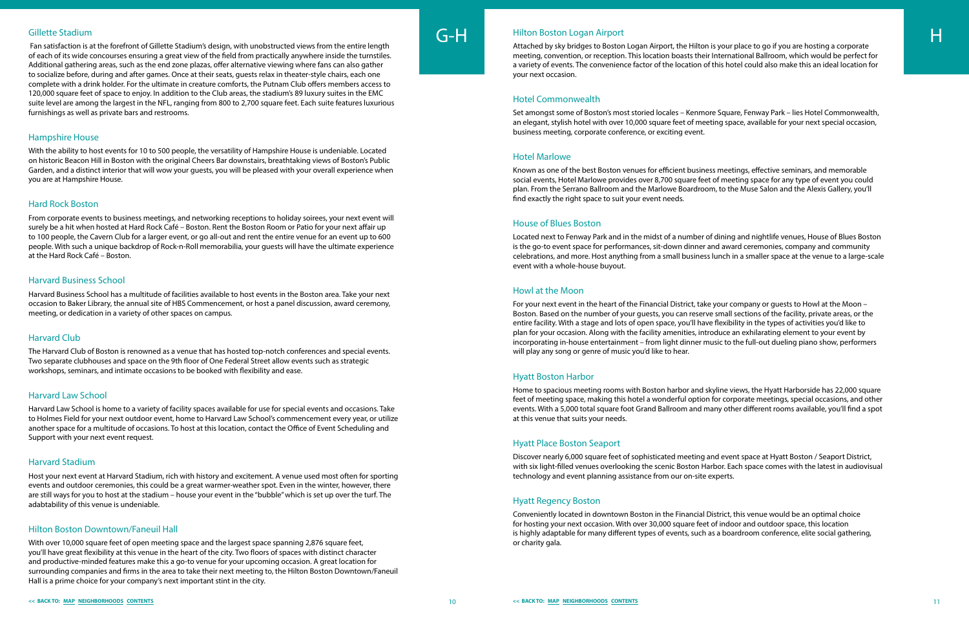#### <span id="page-6-0"></span>Gillette Stadium

 Fan satisfaction is at the forefront of Gillette Stadium's design, with unobstructed views from the entire length of each of its wide concourses ensuring a great view of the field from practically anywhere inside the turnstiles. Additional gathering areas, such as the end zone plazas, offer alternative viewing where fans can also gather to socialize before, during and after games. Once at their seats, guests relax in theater-style chairs, each one complete with a drink holder. For the ultimate in creature comforts, the Putnam Club offers members access to 120,000 square feet of space to enjoy. In addition to the Club areas, the stadium's 89 luxury suites in the EMC suite level are among the largest in the NFL, ranging from 800 to 2,700 square feet. Each suite features luxurious furnishings as well as private bars and restrooms.

#### Hampshire House

With the ability to host events for 10 to 500 people, the versatility of Hampshire House is undeniable. Located on historic Beacon Hill in Boston with the original Cheers Bar downstairs, breathtaking views of Boston's Public Garden, and a distinct interior that will wow your guests, you will be pleased with your overall experience when you are at Hampshire House.

#### Hard Rock Boston

From corporate events to business meetings, and networking receptions to holiday soirees, your next event will surely be a hit when hosted at Hard Rock Café – Boston. Rent the Boston Room or Patio for your next affair up to 100 people, the Cavern Club for a larger event, or go all-out and rent the entire venue for an event up to 600 people. With such a unique backdrop of Rock-n-Roll memorabilia, your guests will have the ultimate experience at the Hard Rock Café – Boston.

#### Harvard Business School

Harvard Business School has a multitude of facilities available to host events in the Boston area. Take your next occasion to Baker Library, the annual site of HBS Commencement, or host a panel discussion, award ceremony, meeting, or dedication in a variety of other spaces on campus.

G-H Hilton Boston Logan Airport<br>Attached by sky bridges to Boston Logan Airport, the Hilton is your place to go if you are hosting a corporate meeting, convention, or reception. This location boasts their International Ballroom, which would be perfect for a variety of events. The convenience factor of the location of this hotel could also make this an ideal location for your next occasion.

#### Harvard Club

The Harvard Club of Boston is renowned as a venue that has hosted top-notch conferences and special events. Two separate clubhouses and space on the 9th floor of One Federal Street allow events such as strategic workshops, seminars, and intimate occasions to be booked with flexibility and ease.

#### Harvard Law School

Harvard Law School is home to a variety of facility spaces available for use for special events and occasions. Take to Holmes Field for your next outdoor event, home to Harvard Law School's commencement every year, or utilize another space for a multitude of occasions. To host at this location, contact the Office of Event Scheduling and Support with your next event request.

#### Harvard Stadium

Host your next event at Harvard Stadium, rich with history and excitement. A venue used most often for sporting events and outdoor ceremonies, this could be a great warmer-weather spot. Even in the winter, however, there are still ways for you to host at the stadium – house your event in the "bubble" which is set up over the turf. The adabtability of this venue is undeniable.

#### Hilton Boston Downtown/Faneuil Hall

With over 10,000 square feet of open meeting space and the largest space spanning 2,876 square feet, you'll have great flexibility at this venue in the heart of the city. Two floors of spaces with distinct character and productive-minded features make this a go-to venue for your upcoming occasion. A great location for surrounding companies and firms in the area to take their next meeting to, the Hilton Boston Downtown/Faneuil Hall is a prime choice for your company's next important stint in the city.



## Hilton Boston Logan Airport

#### Hotel Commonwealth

Set amongst some of Boston's most storied locales – Kenmore Square, Fenway Park – lies Hotel Commonwealth, an elegant, stylish hotel with over 10,000 square feet of meeting space, available for your next special occasion, business meeting, corporate conference, or exciting event.

#### Hotel Marlowe

Known as one of the best Boston venues for efficient business meetings, effective seminars, and memorable social events, Hotel Marlowe provides over 8,700 square feet of meeting space for any type of event you could plan. From the Serrano Ballroom and the Marlowe Boardroom, to the Muse Salon and the Alexis Gallery, you'll find exactly the right space to suit your event needs.

#### House of Blues Boston

Located next to Fenway Park and in the midst of a number of dining and nightlife venues, House of Blues Boston is the go-to event space for performances, sit-down dinner and award ceremonies, company and community celebrations, and more. Host anything from a small business lunch in a smaller space at the venue to a large-scale event with a whole-house buyout.

#### Howl at the Moon

For your next event in the heart of the Financial District, take your company or guests to Howl at the Moon – Boston. Based on the number of your guests, you can reserve small sections of the facility, private areas, or the entire facility. With a stage and lots of open space, you'll have flexibility in the types of activities you'd like to plan for your occasion. Along with the facility amenities, introduce an exhilarating element to your event by incorporating in-house entertainment – from light dinner music to the full-out dueling piano show, performers will play any song or genre of music you'd like to hear.

#### Hyatt Boston Harbor

Home to spacious meeting rooms with Boston harbor and skyline views, the Hyatt Harborside has 22,000 square feet of meeting space, making this hotel a wonderful option for corporate meetings, special occasions, and other events. With a 5,000 total square foot Grand Ballroom and many other different rooms available, you'll find a spot at this venue that suits your needs.

#### Hyatt Place Boston Seaport

Discover nearly 6,000 square feet of sophisticated meeting and event space at Hyatt Boston / Seaport District, with six light-filled venues overlooking the scenic Boston Harbor. Each space comes with the latest in audiovisual technology and event planning assistance from our on-site experts.

#### Hyatt Regency Boston

Conveniently located in downtown Boston in the Financial District, this venue would be an optimal choice for hosting your next occasion. With over 30,000 square feet of indoor and outdoor space, this location is highly adaptable for many different types of events, such as a boardroom conference, elite social gathering, or charity gala.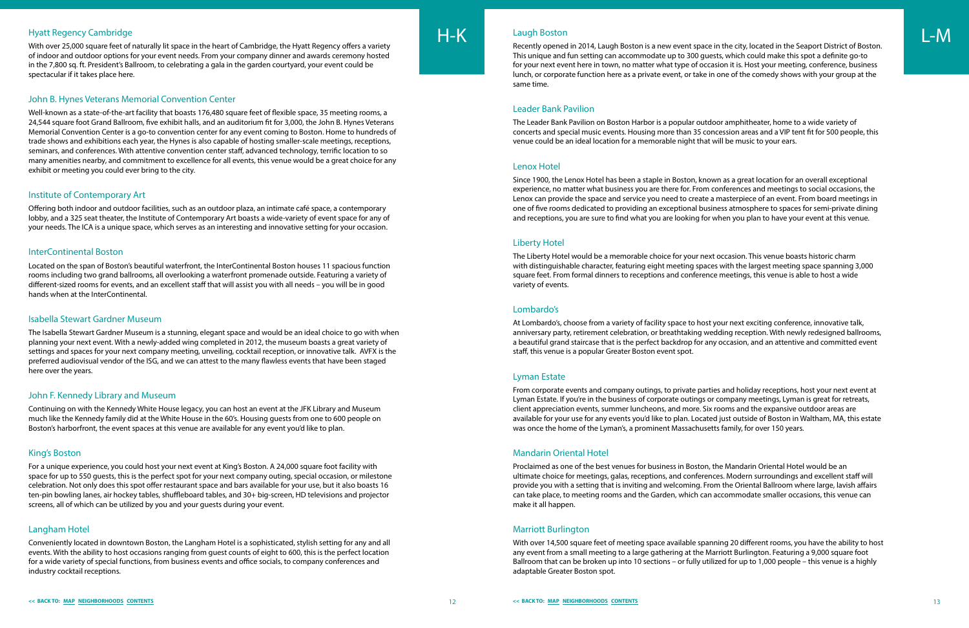## <span id="page-7-0"></span>Hyatt Regency Cambridge

With over 25,000 square feet of naturally lit space in the heart of Cambridge, the Hyatt Regency offers a variety of indoor and outdoor options for your event needs. From your company dinner and awards ceremony hosted in the 7,800 sq. ft. President's Ballroom, to celebrating a gala in the garden courtyard, your event could be spectacular if it takes place here.

#### John B. Hynes Veterans Memorial Convention Center

Well-known as a state-of-the-art facility that boasts 176,480 square feet of flexible space, 35 meeting rooms, a 24,544 square foot Grand Ballroom, five exhibit halls, and an auditorium fit for 3,000, the John B. Hynes Veterans Memorial Convention Center is a go-to convention center for any event coming to Boston. Home to hundreds of trade shows and exhibitions each year, the Hynes is also capable of hosting smaller-scale meetings, receptions, seminars, and conferences. With attentive convention center staff, advanced technology, terrific location to so many amenities nearby, and commitment to excellence for all events, this venue would be a great choice for any exhibit or meeting you could ever bring to the city.

#### Institute of Contemporary Art

Offering both indoor and outdoor facilities, such as an outdoor plaza, an intimate café space, a contemporary lobby, and a 325 seat theater, the Institute of Contemporary Art boasts a wide-variety of event space for any of your needs. The ICA is a unique space, which serves as an interesting and innovative setting for your occasion.

#### InterContinental Boston

Located on the span of Boston's beautiful waterfront, the InterContinental Boston houses 11 spacious function rooms including two grand ballrooms, all overlooking a waterfront promenade outside. Featuring a variety of different-sized rooms for events, and an excellent staff that will assist you with all needs – you will be in good hands when at the InterContinental.

#### Isabella Stewart Gardner Museum

H-K Laugh Boston<br>Recently opened in 2014, Laugh Boston is a new event space in the city, located in the Seaport District of Boston. This unique and fun setting can accommodate up to 300 guests, which could make this spot a definite go-to for your next event here in town, no matter what type of occasion it is. Host your meeting, conference, business lunch, or corporate function here as a private event, or take in one of the comedy shows with your group at the same time.

The Isabella Stewart Gardner Museum is a stunning, elegant space and would be an ideal choice to go with when planning your next event. With a newly-added wing completed in 2012, the museum boasts a great variety of settings and spaces for your next company meeting, unveiling, cocktail reception, or innovative talk. AVFX is the preferred audiovisual vendor of the ISG, and we can attest to the many flawless events that have been staged here over the years.

#### John F. Kennedy Library and Museum

Continuing on with the Kennedy White House legacy, you can host an event at the JFK Library and Museum much like the Kennedy family did at the White House in the 60's. Housing guests from one to 600 people on Boston's harborfront, the event spaces at this venue are available for any event you'd like to plan.

#### King's Boston

For a unique experience, you could host your next event at King's Boston. A 24,000 square foot facility with space for up to 550 guests, this is the perfect spot for your next company outing, special occasion, or milestone celebration. Not only does this spot offer restaurant space and bars available for your use, but it also boasts 16 ten-pin bowling lanes, air hockey tables, shuffleboard tables, and 30+ big-screen, HD televisions and projector screens, all of which can be utilized by you and your guests during your event.

#### Langham Hotel

Conveniently located in downtown Boston, the Langham Hotel is a sophisticated, stylish setting for any and all events. With the ability to host occasions ranging from guest counts of eight to 600, this is the perfect location for a wide variety of special functions, from business events and office socials, to company conferences and industry cocktail receptions.

#### Laugh Boston

#### Leader Bank Pavilion

The Leader Bank Pavilion on Boston Harbor is a popular outdoor amphitheater, home to a wide variety of concerts and special music events. Housing more than 35 concession areas and a VIP tent fit for 500 people, this venue could be an ideal location for a memorable night that will be music to your ears.

#### Lenox Hotel

Since 1900, the Lenox Hotel has been a staple in Boston, known as a great location for an overall exceptional experience, no matter what business you are there for. From conferences and meetings to social occasions, the Lenox can provide the space and service you need to create a masterpiece of an event. From board meetings in one of five rooms dedicated to providing an exceptional business atmosphere to spaces for semi-private dining and receptions, you are sure to find what you are looking for when you plan to have your event at this venue.

#### Liberty Hotel

The Liberty Hotel would be a memorable choice for your next occasion. This venue boasts historic charm with distinguishable character, featuring eight meeting spaces with the largest meeting space spanning 3,000 square feet. From formal dinners to receptions and conference meetings, this venue is able to host a wide variety of events.

#### Lombardo's

At Lombardo's, choose from a variety of facility space to host your next exciting conference, innovative talk, anniversary party, retirement celebration, or breathtaking wedding reception. With newly redesigned ballrooms, a beautiful grand staircase that is the perfect backdrop for any occasion, and an attentive and committed event staff, this venue is a popular Greater Boston event spot.

#### Lyman Estate

From corporate events and company outings, to private parties and holiday receptions, host your next event at Lyman Estate. If you're in the business of corporate outings or company meetings, Lyman is great for retreats, client appreciation events, summer luncheons, and more. Six rooms and the expansive outdoor areas are available for your use for any events you'd like to plan. Located just outside of Boston in Waltham, MA, this estate was once the home of the Lyman's, a prominent Massachusetts family, for over 150 years.

#### Mandarin Oriental Hotel

Proclaimed as one of the best venues for business in Boston, the Mandarin Oriental Hotel would be an ultimate choice for meetings, galas, receptions, and conferences. Modern surroundings and excellent staff will provide you with a setting that is inviting and welcoming. From the Oriental Ballroom where large, lavish affairs can take place, to meeting rooms and the Garden, which can accommodate smaller occasions, this venue can make it all happen.

#### Marriott Burlington

With over 14,500 square feet of meeting space available spanning 20 different rooms, you have the ability to host any event from a small meeting to a large gathering at the Marriott Burlington. Featuring a 9,000 square foot Ballroom that can be broken up into 10 sections – or fully utilized for up to 1,000 people – this venue is a highly adaptable Greater Boston spot.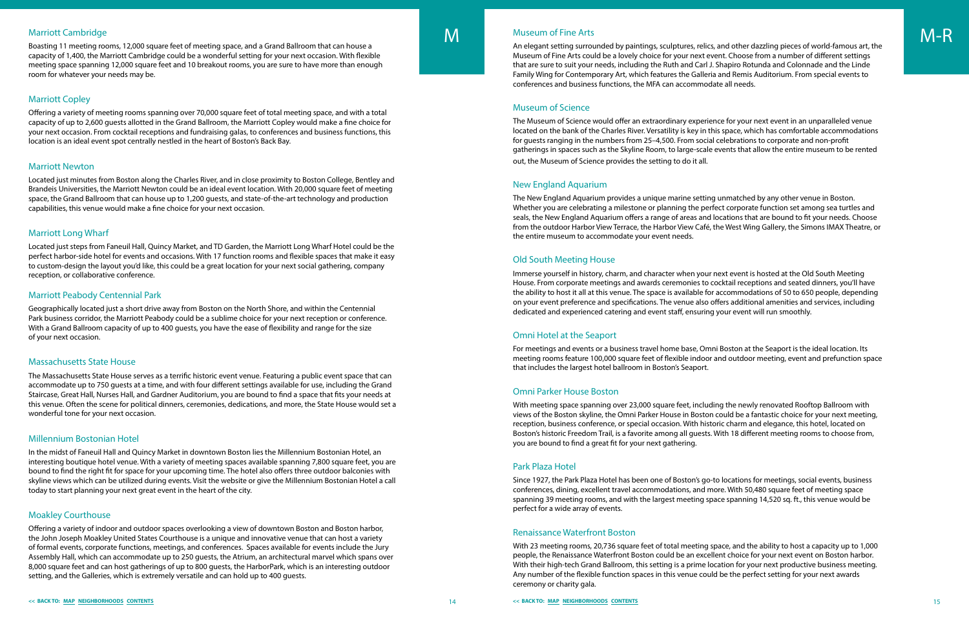Boasting 11 meeting rooms, 12,000 square feet of meeting space, and a Grand Ballroom that can house a capacity of 1,400, the Marriott Cambridge could be a wonderful setting for your next occasion. With flexible meeting space spanning 12,000 square feet and 10 breakout rooms, you are sure to have more than enough room for whatever your needs may be.

# Marriott Copley

Offering a variety of meeting rooms spanning over 70,000 square feet of total meeting space, and with a total capacity of up to 2,600 guests allotted in the Grand Ballroom, the Marriott Copley would make a fine choice for your next occasion. From cocktail receptions and fundraising galas, to conferences and business functions, this location is an ideal event spot centrally nestled in the heart of Boston's Back Bay.

## Marriott Newton

Located just minutes from Boston along the Charles River, and in close proximity to Boston College, Bentley and Brandeis Universities, the Marriott Newton could be an ideal event location. With 20,000 square feet of meeting space, the Grand Ballroom that can house up to 1,200 guests, and state-of-the-art technology and production capabilities, this venue would make a fine choice for your next occasion.

# Marriott Long Wharf

Located just steps from Faneuil Hall, Quincy Market, and TD Garden, the Marriott Long Wharf Hotel could be the perfect harbor-side hotel for events and occasions. With 17 function rooms and flexible spaces that make it easy to custom-design the layout you'd like, this could be a great location for your next social gathering, company reception, or collaborative conference.

## Marriott Peabody Centennial Park

Geographically located just a short drive away from Boston on the North Shore, and within the Centennial Park business corridor, the Marriott Peabody could be a sublime choice for your next reception or conference. With a Grand Ballroom capacity of up to 400 guests, you have the ease of flexibility and range for the size of your next occasion.

## Massachusetts State House

<span id="page-8-0"></span>Marriott Cambridge **An election of the State of Science And An elegant setting surrounded by paintings, sculptures, relics, and other dazzling pieces of world-famous art, the <b>M-R** Boasting 11 meeting rooms, 12,000 square Museum of Fine Arts could be a lovely choice for your next event. Choose from a number of different settings that are sure to suit your needs, including the Ruth and Carl J. Shapiro Rotunda and Colonnade and the Linde Family Wing for Contemporary Art, which features the Galleria and Remis Auditorium. From special events to conferences and business functions, the MFA can accommodate all needs.

The Massachusetts State House serves as a terrific historic event venue. Featuring a public event space that can accommodate up to 750 guests at a time, and with four different settings available for use, including the Grand Staircase, Great Hall, Nurses Hall, and Gardner Auditorium, you are bound to find a space that fits your needs at this venue. Often the scene for political dinners, ceremonies, dedications, and more, the State House would set a wonderful tone for your next occasion.

## Millennium Bostonian Hotel

In the midst of Faneuil Hall and Quincy Market in downtown Boston lies the Millennium Bostonian Hotel, an interesting boutique hotel venue. With a variety of meeting spaces available spanning 7,800 square feet, you are bound to find the right fit for space for your upcoming time. The hotel also offers three outdoor balconies with skyline views which can be utilized during events. Visit the website or give the Millennium Bostonian Hotel a call today to start planning your next great event in the heart of the city.

# Moakley Courthouse

Offering a variety of indoor and outdoor spaces overlooking a view of downtown Boston and Boston harbor, the John Joseph Moakley United States Courthouse is a unique and innovative venue that can host a variety of formal events, corporate functions, meetings, and conferences. Spaces available for events include the Jury Assembly Hall, which can accommodate up to 250 guests, the Atrium, an architectural marvel which spans over 8,000 square feet and can host gatherings of up to 800 guests, the HarborPark, which is an interesting outdoor setting, and the Galleries, which is extremely versatile and can hold up to 400 guests.

# Museum of Fine Arts

# Museum of Science

The Museum of Science would offer an extraordinary experience for your next event in an unparalleled venue located on the bank of the Charles River. Versatility is key in this space, which has comfortable accommodations for guests ranging in the numbers from 25–4,500. From social celebrations to corporate and non-profit gatherings in spaces such as the Skyline Room, to large-scale events that allow the entire museum to be rented out, the Museum of Science provides the setting to do it all.

# New England Aquarium

The New England Aquarium provides a unique marine setting unmatched by any other venue in Boston. Whether you are celebrating a milestone or planning the perfect corporate function set among sea turtles and seals, the New England Aquarium offers a range of areas and locations that are bound to fit your needs. Choose from the outdoor Harbor View Terrace, the Harbor View Café, the West Wing Gallery, the Simons IMAX Theatre, or the entire museum to accommodate your event needs.

# Old South Meeting House

Immerse yourself in history, charm, and character when your next event is hosted at the Old South Meeting House. From corporate meetings and awards ceremonies to cocktail receptions and seated dinners, you'll have the ability to host it all at this venue. The space is available for accommodations of 50 to 650 people, depending on your event preference and specifications. The venue also offers additional amenities and services, including dedicated and experienced catering and event staff, ensuring your event will run smoothly.

# Omni Hotel at the Seaport

For meetings and events or a business travel home base, Omni Boston at the Seaport is the ideal location. Its meeting rooms feature 100,000 square feet of flexible indoor and outdoor meeting, event and prefunction space that includes the largest hotel ballroom in Boston's Seaport.

# Omni Parker House Boston

With meeting space spanning over 23,000 square feet, including the newly renovated Rooftop Ballroom with views of the Boston skyline, the Omni Parker House in Boston could be a fantastic choice for your next meeting, reception, business conference, or special occasion. With historic charm and elegance, this hotel, located on Boston's historic Freedom Trail, is a favorite among all guests. With 18 different meeting rooms to choose from, you are bound to find a great fit for your next gathering.

# Park Plaza Hotel

Since 1927, the Park Plaza Hotel has been one of Boston's go-to locations for meetings, social events, business conferences, dining, excellent travel accommodations, and more. With 50,480 square feet of meeting space spanning 39 meeting rooms, and with the largest meeting space spanning 14,520 sq. ft., this venue would be perfect for a wide array of events.

# Renaissance Waterfront Boston

With 23 meeting rooms, 20,736 square feet of total meeting space, and the ability to host a capacity up to 1,000 people, the Renaissance Waterfront Boston could be an excellent choice for your next event on Boston harbor. With their high-tech Grand Ballroom, this setting is a prime location for your next productive business meeting. Any number of the flexible function spaces in this venue could be the perfect setting for your next awards ceremony or charity gala.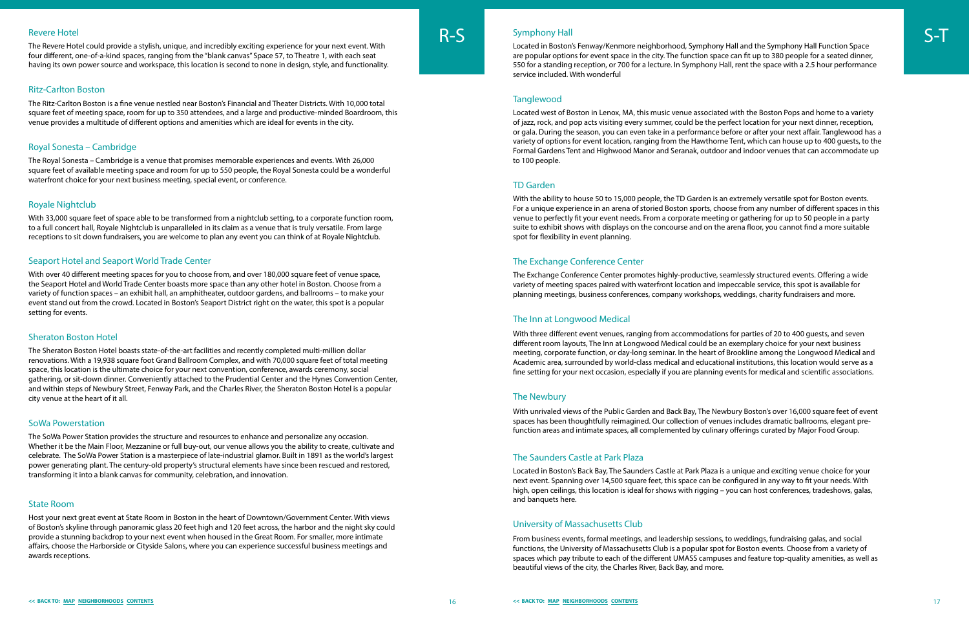#### <span id="page-9-0"></span>Revere Hotel

The Revere Hotel could provide a stylish, unique, and incredibly exciting experience for your next event. With four different, one-of-a-kind spaces, ranging from the "blank canvas" Space 57, to Theatre 1, with each seat having its own power source and workspace, this location is second to none in design, style, and functionality.

#### Ritz-Carlton Boston

The Ritz-Carlton Boston is a fine venue nestled near Boston's Financial and Theater Districts. With 10,000 total square feet of meeting space, room for up to 350 attendees, and a large and productive-minded Boardroom, this venue provides a multitude of different options and amenities which are ideal for events in the city.

## Royal Sonesta – Cambridge

The Royal Sonesta – Cambridge is a venue that promises memorable experiences and events. With 26,000 square feet of available meeting space and room for up to 550 people, the Royal Sonesta could be a wonderful waterfront choice for your next business meeting, special event, or conference.

#### Royale Nightclub

With 33,000 square feet of space able to be transformed from a nightclub setting, to a corporate function room, to a full concert hall, Royale Nightclub is unparalleled in its claim as a venue that is truly versatile. From large receptions to sit down fundraisers, you are welcome to plan any event you can think of at Royale Nightclub.

#### Seaport Hotel and Seaport World Trade Center

With over 40 different meeting spaces for you to choose from, and over 180,000 square feet of venue space, the Seaport Hotel and World Trade Center boasts more space than any other hotel in Boston. Choose from a variety of function spaces – an exhibit hall, an amphitheater, outdoor gardens, and ballrooms – to make your event stand out from the crowd. Located in Boston's Seaport District right on the water, this spot is a popular setting for events.

#### Sheraton Boston Hotel

R-S Symphony Hall<br>Located in Boston's Fenway/Kenmore neighborhood, Symphony Hall and the Symphony Hall Function Space are popular options for event space in the city. The function space can fit up to 380 people for a seated dinner, 550 for a standing reception, or 700 for a lecture. In Symphony Hall, rent the space with a 2.5 hour performance service included. With wonderful

#### **Tanglewood**

The Sheraton Boston Hotel boasts state-of-the-art facilities and recently completed multi-million dollar renovations. With a 19,938 square foot Grand Ballroom Complex, and with 70,000 square feet of total meeting space, this location is the ultimate choice for your next convention, conference, awards ceremony, social gathering, or sit-down dinner. Conveniently attached to the Prudential Center and the Hynes Convention Center, and within steps of Newbury Street, Fenway Park, and the Charles River, the Sheraton Boston Hotel is a popular city venue at the heart of it all.

#### SoWa Powerstation

The SoWa Power Station provides the structure and resources to enhance and personalize any occasion. Whether it be the Main Floor, Mezzanine or full buy-out, our venue allows you the ability to create, cultivate and celebrate. The SoWa Power Station is a masterpiece of late-industrial glamor. Built in 1891 as the world's largest power generating plant. The century-old property's structural elements have since been rescued and restored, transforming it into a blank canvas for community, celebration, and innovation.

#### State Room

Host your next great event at State Room in Boston in the heart of Downtown/Government Center. With views of Boston's skyline through panoramic glass 20 feet high and 120 feet across, the harbor and the night sky could provide a stunning backdrop to your next event when housed in the Great Room. For smaller, more intimate affairs, choose the Harborside or Cityside Salons, where you can experience successful business meetings and awards receptions.



Located west of Boston in Lenox, MA, this music venue associated with the Boston Pops and home to a variety of jazz, rock, and pop acts visiting every summer, could be the perfect location for your next dinner, reception, or gala. During the season, you can even take in a performance before or after your next affair. Tanglewood has a variety of options for event location, ranging from the Hawthorne Tent, which can house up to 400 guests, to the Formal Gardens Tent and Highwood Manor and Seranak, outdoor and indoor venues that can accommodate up to 100 people.

#### TD Garden

With the ability to house 50 to 15,000 people, the TD Garden is an extremely versatile spot for Boston events. For a unique experience in an arena of storied Boston sports, choose from any number of different spaces in this venue to perfectly fit your event needs. From a corporate meeting or gathering for up to 50 people in a party suite to exhibit shows with displays on the concourse and on the arena floor, you cannot find a more suitable spot for flexibility in event planning.

#### The Exchange Conference Center

The Exchange Conference Center promotes highly-productive, seamlessly structured events. Offering a wide variety of meeting spaces paired with waterfront location and impeccable service, this spot is available for planning meetings, business conferences, company workshops, weddings, charity fundraisers and more.

#### The Inn at Longwood Medical

With three different event venues, ranging from accommodations for parties of 20 to 400 guests, and seven different room layouts, The Inn at Longwood Medical could be an exemplary choice for your next business meeting, corporate function, or day-long seminar. In the heart of Brookline among the Longwood Medical and Academic area, surrounded by world-class medical and educational institutions, this location would serve as a fine setting for your next occasion, especially if you are planning events for medical and scientific associations.

#### The Newbury

With unrivaled views of the Public Garden and Back Bay, The Newbury Boston's over 16,000 square feet of event spaces has been thoughtfully reimagined. Our collection of venues includes dramatic ballrooms, elegant prefunction areas and intimate spaces, all complemented by culinary offerings curated by Major Food Group.

#### The Saunders Castle at Park Plaza

Located in Boston's Back Bay, The Saunders Castle at Park Plaza is a unique and exciting venue choice for your next event. Spanning over 14,500 square feet, this space can be configured in any way to fit your needs. With high, open ceilings, this location is ideal for shows with rigging – you can host conferences, tradeshows, galas, and banquets here.

#### University of Massachusetts Club

From business events, formal meetings, and leadership sessions, to weddings, fundraising galas, and social functions, the University of Massachusetts Club is a popular spot for Boston events. Choose from a variety of spaces which pay tribute to each of the different UMASS campuses and feature top-quality amenities, as well as beautiful views of the city, the Charles River, Back Bay, and more.